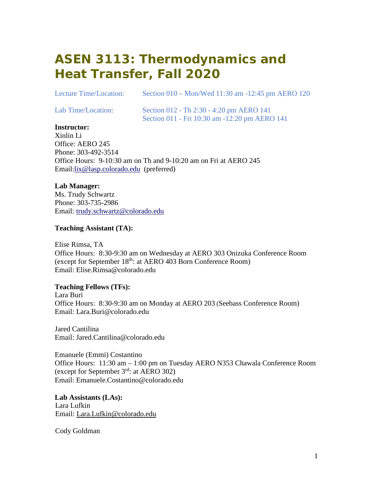## **ASEN 3113: Thermodynamics and Heat Transfer, Fall 2020**

Lecture Time/Location: Section 010 – Mon/Wed 11:30 am -12:45 pm AERO 120

Lab Time/Location: Section 012 - Th 2:30 - 4:20 pm AERO 141 Section 011 - Fri 10:30 am -12:20 pm AERO 141

### **Instructor:**

Xinlin Li Office: AERO 245 Phone: 303-492-3514 Office Hours: 9-10:30 am on Th and 9-10:20 am on Fri at AERO 245 Email[:lix@lasp.colorado.edu](mailto:%20lix@lasp.colorado.edu) (preferred)

### **Lab Manager:**

Ms. Trudy Schwartz Phone: 303-735-2986 Email: [trudy.schwartz@colorado.edu](mailto:%20trudy.schwartz@colorado.edu)

### **Teaching Assistant (TA):**

Elise Rimsa, TA Office Hours: 8:30-9:30 am on Wednesday at AERO 303 Onizuka Conference Room (except for September 18<sup>th</sup>: at AERO 403 Born Conference Room) Email: Elise.Rimsa@colorado.edu

### **Teaching Fellows (TFs):**

Lara Buri Office Hours: 8:30-9:30 am on Monday at AERO 203 (Seebass Conference Room) Email: Lara.Buri@colorado.edu

Jared Cantilina Email: Jared.Cantilina@colorado.edu

Emanuele (Emmi) Costantino Office Hours: 11:30 am – 1:00 pm on Tuesday AERO N353 Chawala Conference Room (except for September 3rd: at AERO 302) Email: Emanuele.Costantino@colorado.edu

**Lab Assistants (LAs):**  Lara Lufkin Email: [Lara.Lufkin@colorado.edu](mailto:Lara.Lufkin@colorado.edu) 

Cody Goldman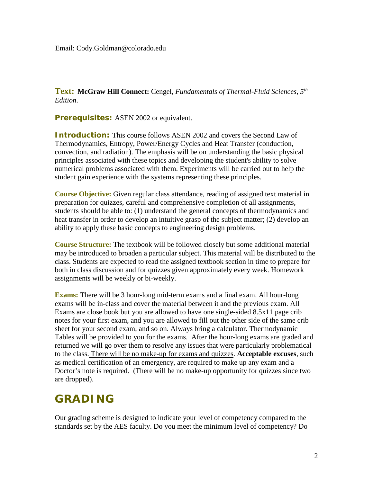**Text: McGraw Hill Connect:** Cengel, *Fundamentals of Thermal-Fluid Sciences, 5th Edition*.

**Prerequisites:** ASEN 2002 or equivalent.

**Introduction:** This course follows ASEN 2002 and covers the Second Law of Thermodynamics, Entropy, Power/Energy Cycles and Heat Transfer (conduction, convection, and radiation). The emphasis will be on understanding the basic physical principles associated with these topics and developing the student's ability to solve numerical problems associated with them. Experiments will be carried out to help the student gain experience with the systems representing these principles.

**Course Objective:** Given regular class attendance, reading of assigned text material in preparation for quizzes, careful and comprehensive completion of all assignments, students should be able to: (1) understand the general concepts of thermodynamics and heat transfer in order to develop an intuitive grasp of the subject matter; (2) develop an ability to apply these basic concepts to engineering design problems.

**Course Structure:** The textbook will be followed closely but some additional material may be introduced to broaden a particular subject. This material will be distributed to the class. Students are expected to read the assigned textbook section in time to prepare for both in class discussion and for quizzes given approximately every week. Homework assignments will be weekly or bi-weekly.

**Exams:** There will be 3 hour-long mid-term exams and a final exam. All hour-long exams will be in-class and cover the material between it and the previous exam. All Exams are close book but you are allowed to have one single-sided 8.5x11 page crib notes for your first exam, and you are allowed to fill out the other side of the same crib sheet for your second exam, and so on. Always bring a calculator. Thermodynamic Tables will be provided to you for the exams. After the hour-long exams are graded and returned we will go over them to resolve any issues that were particularly problematical to the class. There will be no make-up for exams and quizzes. **Acceptable excuses**, such as medical certification of an emergency, are required to make up any exam and a Doctor's note is required. (There will be no make-up opportunity for quizzes since two are dropped).

### **GRADING**

Our grading scheme is designed to indicate your level of competency compared to the standards set by the AES faculty. Do you meet the minimum level of competency? Do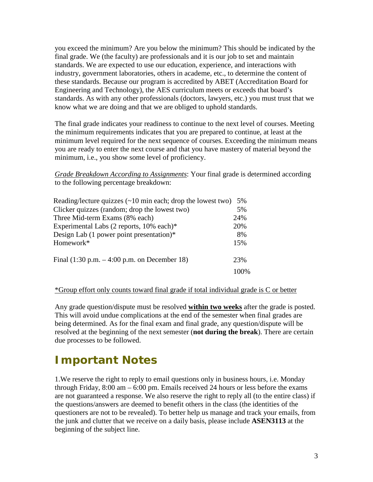you exceed the minimum? Are you below the minimum? This should be indicated by the final grade. We (the faculty) are professionals and it is our job to set and maintain standards. We are expected to use our education, experience, and interactions with industry, government laboratories, others in academe, etc., to determine the content of these standards. Because our program is accredited by ABET (Accreditation Board for Engineering and Technology), the AES curriculum meets or exceeds that board's standards. As with any other professionals (doctors, lawyers, etc.) you must trust that we know what we are doing and that we are obliged to uphold standards.

The final grade indicates your readiness to continue to the next level of courses. Meeting the minimum requirements indicates that you are prepared to continue, at least at the minimum level required for the next sequence of courses. Exceeding the minimum means you are ready to enter the next course and that you have mastery of material beyond the minimum, i.e., you show some level of proficiency.

*Grade Breakdown According to Assignments*: Your final grade is determined according to the following percentage breakdown:

| Reading/lecture quizzes $(\sim 10 \text{ min each};$ drop the lowest two) | 5%    |
|---------------------------------------------------------------------------|-------|
| Clicker quizzes (random; drop the lowest two)                             | 5%    |
| Three Mid-term Exams (8% each)                                            | 24%   |
| Experimental Labs (2 reports, 10% each)*                                  | 20%   |
| Design Lab $(1)$ power point presentation)*                               | 8%    |
| Homework*                                                                 | 15%   |
| Final $(1:30 \text{ p.m.} - 4:00 \text{ p.m.} \text{ on December 18})$    | 23%   |
|                                                                           | 100\% |

#### \*Group effort only counts toward final grade if total individual grade is C or better

Any grade question/dispute must be resolved **within two weeks** after the grade is posted. This will avoid undue complications at the end of the semester when final grades are being determined. As for the final exam and final grade, any question/dispute will be resolved at the beginning of the next semester (**not during the break**). There are certain due processes to be followed.

### **Important Notes**

1.We reserve the right to reply to email questions only in business hours, i.e. Monday through Friday, 8:00 am – 6:00 pm. Emails received 24 hours or less before the exams are not guaranteed a response. We also reserve the right to reply all (to the entire class) if the questions/answers are deemed to benefit others in the class (the identities of the questioners are not to be revealed). To better help us manage and track your emails, from the junk and clutter that we receive on a daily basis, please include **ASEN3113** at the beginning of the subject line.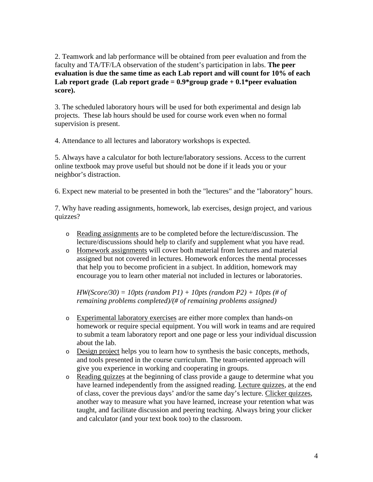2. Teamwork and lab performance will be obtained from peer evaluation and from the faculty and TA/TF/LA observation of the student's participation in labs. **The peer evaluation is due the same time as each Lab report and will count for 10% of each Lab report grade (Lab report grade = 0.9\*group grade + 0.1\*peer evaluation score).**

3. The scheduled laboratory hours will be used for both experimental and design lab projects. These lab hours should be used for course work even when no formal supervision is present.

4. Attendance to all lectures and laboratory workshops is expected.

5. Always have a calculator for both lecture/laboratory sessions. Access to the current online textbook may prove useful but should not be done if it leads you or your neighbor's distraction.

6. Expect new material to be presented in both the "lectures" and the "laboratory" hours.

7. Why have reading assignments, homework, lab exercises, design project, and various quizzes?

- o Reading assignments are to be completed before the lecture/discussion. The lecture/discussions should help to clarify and supplement what you have read.
- o Homework assignments will cover both material from lectures and material assigned but not covered in lectures. Homework enforces the mental processes that help you to become proficient in a subject. In addition, homework may encourage you to learn other material not included in lectures or laboratories.

*HW(Score/30) = 10pts (random P1) + 10pts (random P2) + 10pts (# of remaining problems completed)/(# of remaining problems assigned)*

- o Experimental laboratory exercises are either more complex than hands-on homework or require special equipment. You will work in teams and are required to submit a team laboratory report and one page or less your individual discussion about the lab.
- o Design project helps you to learn how to synthesis the basic concepts, methods, and tools presented in the course curriculum. The team-oriented approach will give you experience in working and cooperating in groups.
- o Reading quizzes at the beginning of class provide a gauge to determine what you have learned independently from the assigned reading. Lecture quizzes, at the end of class, cover the previous days' and/or the same day's lecture. Clicker quizzes, another way to measure what you have learned, increase your retention what was taught, and facilitate discussion and peering teaching. Always bring your clicker and calculator (and your text book too) to the classroom.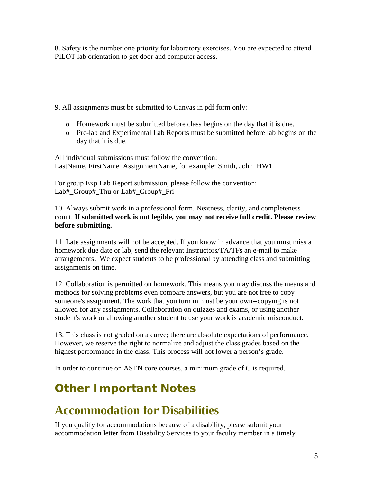8. Safety is the number one priority for laboratory exercises. You are expected to attend PILOT lab orientation to get door and computer access.

9. All assignments must be submitted to Canvas in pdf form only:

- o Homework must be submitted before class begins on the day that it is due.
- o Pre-lab and Experimental Lab Reports must be submitted before lab begins on the day that it is due.

All individual submissions must follow the convention: LastName, FirstName\_AssignmentName, for example: Smith, John\_HW1

For group Exp Lab Report submission, please follow the convention: Lab#\_Group#\_Thu or Lab#\_Group#\_Fri

10. Always submit work in a professional form. Neatness, clarity, and completeness count. **If submitted work is not legible, you may not receive full credit. Please review before submitting.** 

11. Late assignments will not be accepted. If you know in advance that you must miss a homework due date or lab, send the relevant Instructors/TA/TFs an e-mail to make arrangements. We expect students to be professional by attending class and submitting assignments on time.

12. Collaboration is permitted on homework. This means you may discuss the means and methods for solving problems even compare answers, but you are not free to copy someone's assignment. The work that you turn in must be your own--copying is not allowed for any assignments. Collaboration on quizzes and exams, or using another student's work or allowing another student to use your work is academic misconduct.

13. This class is not graded on a curve; there are absolute expectations of performance. However, we reserve the right to normalize and adjust the class grades based on the highest performance in the class. This process will not lower a person's grade.

In order to continue on ASEN core courses, a minimum grade of C is required.

## **Other Important Notes**

## **Accommodation for Disabilities**

If you qualify for accommodations because of a disability, please submit your accommodation letter from Disability Services to your faculty member in a timely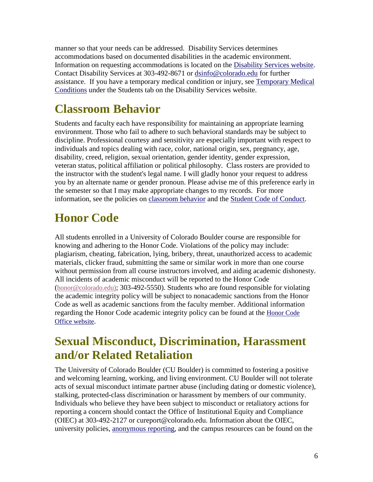manner so that your needs can be addressed. Disability Services determines accommodations based on documented disabilities in the academic environment. Information on requesting accommodations is located on the [Disability Services website.](http://www.colorado.edu/disabilityservices/students) Contact Disability Services at 303-492-8671 or [dsinfo@colorado.edu](mailto:dsinfo@colorado.edu) for further assistance. If you have a temporary medical condition or injury, see [Temporary Medical](http://www.colorado.edu/disabilityservices/students/temporary-medical-conditions)  [Conditions](http://www.colorado.edu/disabilityservices/students/temporary-medical-conditions) under the Students tab on the Disability Services website.

## **Classroom Behavior**

Students and faculty each have responsibility for maintaining an appropriate learning environment. Those who fail to adhere to such behavioral standards may be subject to discipline. Professional courtesy and sensitivity are especially important with respect to individuals and topics dealing with race, color, national origin, sex, pregnancy, age, disability, creed, religion, sexual orientation, gender identity, gender expression, veteran status, political affiliation or political philosophy. Class rosters are provided to the instructor with the student's legal name. I will gladly honor your request to address you by an alternate name or gender pronoun. Please advise me of this preference early in the semester so that I may make appropriate changes to my records. For more information, see the policies on [classroom behavior](http://www.colorado.edu/policies/student-classroom-and-course-related-behavior) and the [Student Code of Conduct.](http://www.colorado.edu/osccr/)

## **Honor Code**

All students enrolled in a University of Colorado Boulder course are responsible for knowing and adhering to the Honor Code. Violations of the policy may include: plagiarism, cheating, fabrication, lying, bribery, threat, unauthorized access to academic materials, clicker fraud, submitting the same or similar work in more than one course without permission from all course instructors involved, and aiding academic dishonesty. All incidents of academic misconduct will be reported to the Honor Code [\(honor@colorado.edu\)](mailto:honor@colorado.edu); 303-492-5550). Students who are found responsible for violating the academic integrity policy will be subject to nonacademic sanctions from the Honor Code as well as academic sanctions from the faculty member. Additional information regarding the Honor Code academic integrity policy can be found at the [Honor Code](https://www.colorado.edu/osccr/honor-code)  [Office website.](https://www.colorado.edu/osccr/honor-code)

## **Sexual Misconduct, Discrimination, Harassment and/or Related Retaliation**

The University of Colorado Boulder (CU Boulder) is committed to fostering a positive and welcoming learning, working, and living environment. CU Boulder will not tolerate acts of sexual misconduct intimate partner abuse (including dating or domestic violence), stalking, protected-class discrimination or harassment by members of our community. Individuals who believe they have been subject to misconduct or retaliatory actions for reporting a concern should contact the Office of Institutional Equity and Compliance (OIEC) at 303-492-2127 or cureport@colorado.edu. Information about the OIEC, university policies, [anonymous reporting,](https://cuboulder.qualtrics.com/jfe/form/SV_0PnqVK4kkIJIZnf) and the campus resources can be found on the